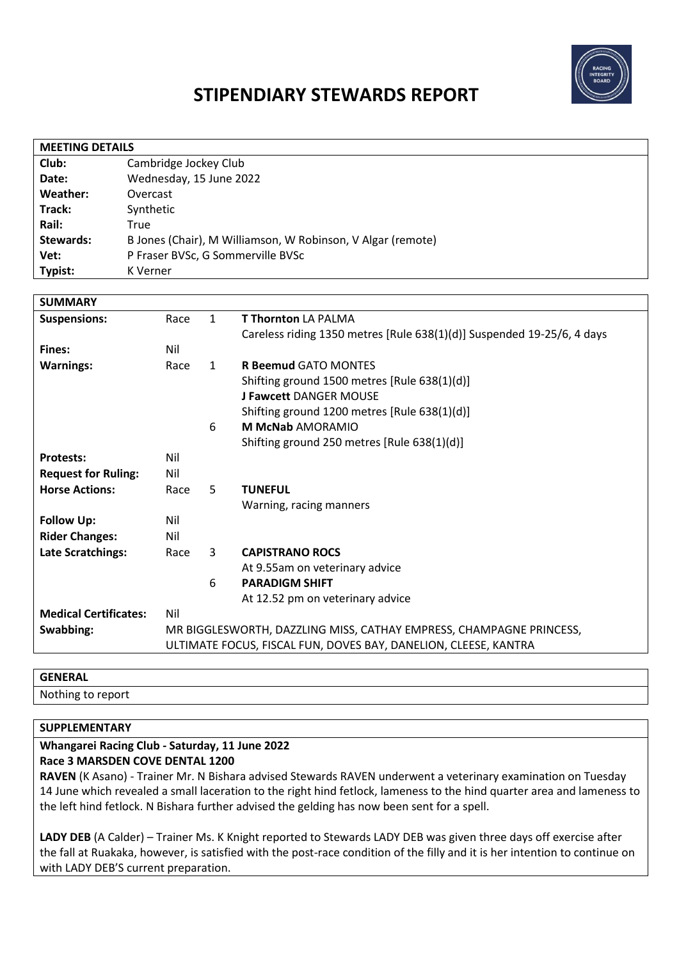

# **STIPENDIARY STEWARDS REPORT**

| <b>MEETING DETAILS</b> |                                                             |  |  |
|------------------------|-------------------------------------------------------------|--|--|
| Club:                  | Cambridge Jockey Club                                       |  |  |
| Date:                  | Wednesday, 15 June 2022                                     |  |  |
| Weather:               | Overcast                                                    |  |  |
| Track:                 | Synthetic                                                   |  |  |
| Rail:                  | True                                                        |  |  |
| Stewards:              | B Jones (Chair), M Williamson, W Robinson, V Algar (remote) |  |  |
| Vet:                   | P Fraser BVSc, G Sommerville BVSc                           |  |  |
| Typist:                | K Verner                                                    |  |  |
|                        |                                                             |  |  |

| <b>SUMMARY</b>               |                                                                     |              |                                                                        |
|------------------------------|---------------------------------------------------------------------|--------------|------------------------------------------------------------------------|
| <b>Suspensions:</b>          | Race                                                                | $\mathbf{1}$ | <b>T Thornton LA PALMA</b>                                             |
|                              |                                                                     |              | Careless riding 1350 metres [Rule 638(1)(d)] Suspended 19-25/6, 4 days |
| Fines:                       | Nil                                                                 |              |                                                                        |
| <b>Warnings:</b>             | Race                                                                | $\mathbf{1}$ | <b>R Beemud GATO MONTES</b>                                            |
|                              |                                                                     |              | Shifting ground 1500 metres [Rule 638(1)(d)]                           |
|                              |                                                                     |              | <b>J Fawcett DANGER MOUSE</b>                                          |
|                              |                                                                     |              | Shifting ground 1200 metres [Rule 638(1)(d)]                           |
|                              |                                                                     | 6            | <b>M McNab AMORAMIO</b>                                                |
|                              |                                                                     |              | Shifting ground 250 metres [Rule 638(1)(d)]                            |
| <b>Protests:</b>             | Nil                                                                 |              |                                                                        |
| <b>Request for Ruling:</b>   | Nil                                                                 |              |                                                                        |
| <b>Horse Actions:</b>        | Race                                                                | 5            | <b>TUNEFUL</b>                                                         |
|                              |                                                                     |              | Warning, racing manners                                                |
| <b>Follow Up:</b>            | Nil                                                                 |              |                                                                        |
| <b>Rider Changes:</b>        | Nil                                                                 |              |                                                                        |
| Late Scratchings:            | Race                                                                | 3            | <b>CAPISTRANO ROCS</b>                                                 |
|                              |                                                                     |              | At 9.55am on veterinary advice                                         |
|                              |                                                                     | 6            | <b>PARADIGM SHIFT</b>                                                  |
|                              |                                                                     |              | At 12.52 pm on veterinary advice                                       |
| <b>Medical Certificates:</b> | Nil                                                                 |              |                                                                        |
| Swabbing:                    | MR BIGGLESWORTH, DAZZLING MISS, CATHAY EMPRESS, CHAMPAGNE PRINCESS, |              |                                                                        |
|                              |                                                                     |              | ULTIMATE FOCUS, FISCAL FUN, DOVES BAY, DANELION, CLEESE, KANTRA        |

#### **GENERAL**

Nothing to report

### **SUPPLEMENTARY**

#### **Whangarei Racing Club - Saturday, 11 June 2022 Race 3 MARSDEN COVE DENTAL 1200**

**RAVEN** (K Asano) - Trainer Mr. N Bishara advised Stewards RAVEN underwent a veterinary examination on Tuesday 14 June which revealed a small laceration to the right hind fetlock, lameness to the hind quarter area and lameness to the left hind fetlock. N Bishara further advised the gelding has now been sent for a spell.

**LADY DEB** (A Calder) – Trainer Ms. K Knight reported to Stewards LADY DEB was given three days off exercise after the fall at Ruakaka, however, is satisfied with the post-race condition of the filly and it is her intention to continue on with LADY DEB'S current preparation.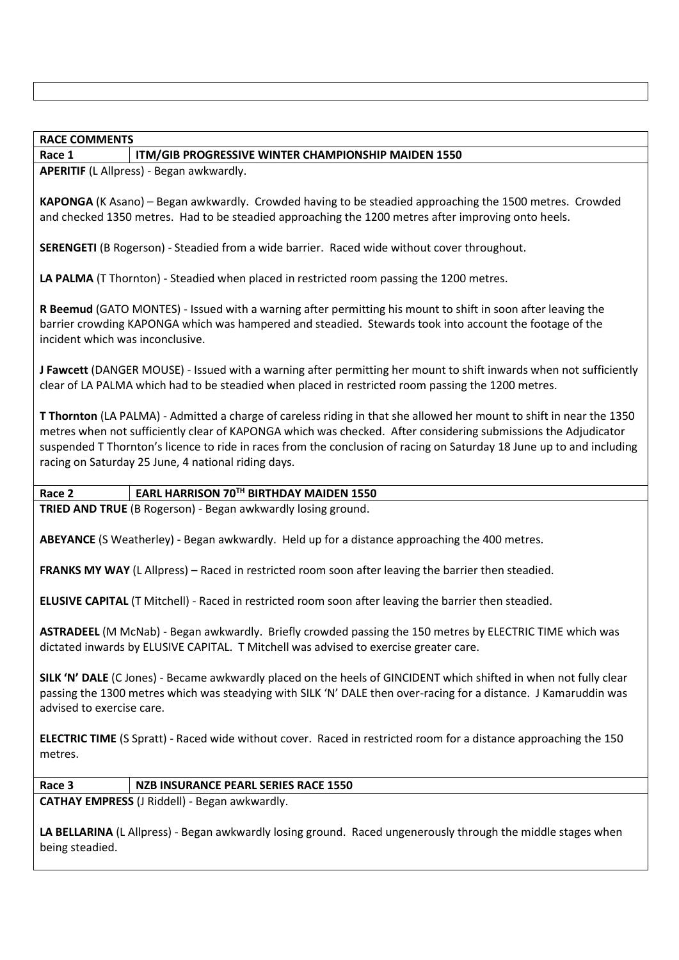#### **RACE COMMENTS**

#### **Race 1 ITM/GIB PROGRESSIVE WINTER CHAMPIONSHIP MAIDEN 1550**

**APERITIF** (L Allpress) - Began awkwardly.

**KAPONGA** (K Asano) – Began awkwardly. Crowded having to be steadied approaching the 1500 metres. Crowded and checked 1350 metres. Had to be steadied approaching the 1200 metres after improving onto heels.

**SERENGETI** (B Rogerson) - Steadied from a wide barrier. Raced wide without cover throughout.

**LA PALMA** (T Thornton) - Steadied when placed in restricted room passing the 1200 metres.

**R Beemud** (GATO MONTES) - Issued with a warning after permitting his mount to shift in soon after leaving the barrier crowding KAPONGA which was hampered and steadied. Stewards took into account the footage of the incident which was inconclusive.

**J Fawcett** (DANGER MOUSE) - Issued with a warning after permitting her mount to shift inwards when not sufficiently clear of LA PALMA which had to be steadied when placed in restricted room passing the 1200 metres.

**T Thornton** (LA PALMA) - Admitted a charge of careless riding in that she allowed her mount to shift in near the 1350 metres when not sufficiently clear of KAPONGA which was checked. After considering submissions the Adjudicator suspended T Thornton's licence to ride in races from the conclusion of racing on Saturday 18 June up to and including racing on Saturday 25 June, 4 national riding days.

**Race 2 EARL HARRISON 70TH BIRTHDAY MAIDEN 1550**

**TRIED AND TRUE** (B Rogerson) - Began awkwardly losing ground.

**ABEYANCE** (S Weatherley) - Began awkwardly. Held up for a distance approaching the 400 metres.

**FRANKS MY WAY** (L Allpress) – Raced in restricted room soon after leaving the barrier then steadied.

**ELUSIVE CAPITAL** (T Mitchell) - Raced in restricted room soon after leaving the barrier then steadied.

**ASTRADEEL** (M McNab) - Began awkwardly. Briefly crowded passing the 150 metres by ELECTRIC TIME which was dictated inwards by ELUSIVE CAPITAL. T Mitchell was advised to exercise greater care.

**SILK 'N' DALE** (C Jones) - Became awkwardly placed on the heels of GINCIDENT which shifted in when not fully clear passing the 1300 metres which was steadying with SILK 'N' DALE then over-racing for a distance. J Kamaruddin was advised to exercise care.

**ELECTRIC TIME** (S Spratt) - Raced wide without cover. Raced in restricted room for a distance approaching the 150 metres.

**Race 3 NZB INSURANCE PEARL SERIES RACE 1550**

**CATHAY EMPRESS** (J Riddell) - Began awkwardly.

**LA BELLARINA** (L Allpress) - Began awkwardly losing ground. Raced ungenerously through the middle stages when being steadied.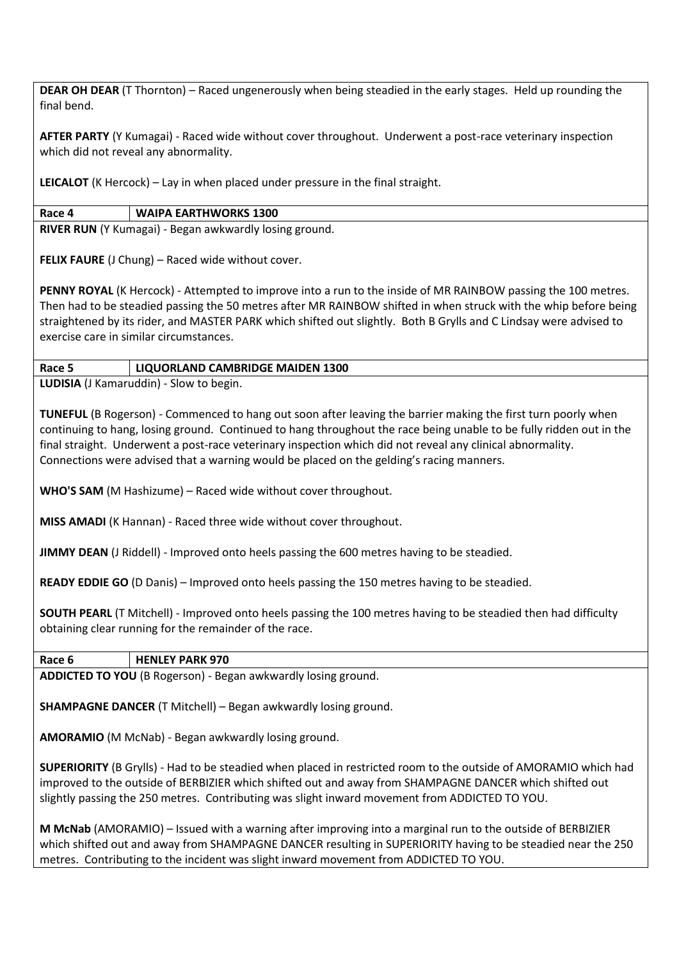**DEAR OH DEAR** (T Thornton) – Raced ungenerously when being steadied in the early stages. Held up rounding the final bend.

**AFTER PARTY** (Y Kumagai) - Raced wide without cover throughout. Underwent a post-race veterinary inspection which did not reveal any abnormality.

**LEICALOT** (K Hercock) – Lay in when placed under pressure in the final straight.

## **Race 4 WAIPA EARTHWORKS 1300**

**RIVER RUN** (Y Kumagai) - Began awkwardly losing ground.

**FELIX FAURE** (J Chung) – Raced wide without cover.

**PENNY ROYAL** (K Hercock) - Attempted to improve into a run to the inside of MR RAINBOW passing the 100 metres. Then had to be steadied passing the 50 metres after MR RAINBOW shifted in when struck with the whip before being straightened by its rider, and MASTER PARK which shifted out slightly. Both B Grylls and C Lindsay were advised to exercise care in similar circumstances.

## **Race 5 LIQUORLAND CAMBRIDGE MAIDEN 1300**

**LUDISIA** (J Kamaruddin) - Slow to begin.

**TUNEFUL** (B Rogerson) - Commenced to hang out soon after leaving the barrier making the first turn poorly when continuing to hang, losing ground. Continued to hang throughout the race being unable to be fully ridden out in the final straight. Underwent a post-race veterinary inspection which did not reveal any clinical abnormality. Connections were advised that a warning would be placed on the gelding's racing manners.

**WHO'S SAM** (M Hashizume) – Raced wide without cover throughout.

**MISS AMADI** (K Hannan) - Raced three wide without cover throughout.

**JIMMY DEAN** (J Riddell) - Improved onto heels passing the 600 metres having to be steadied.

**READY EDDIE GO** (D Danis) – Improved onto heels passing the 150 metres having to be steadied.

**SOUTH PEARL** (T Mitchell) - Improved onto heels passing the 100 metres having to be steadied then had difficulty obtaining clear running for the remainder of the race.

| l HENLEY PARK 970 |
|-------------------|
|                   |

**ADDICTED TO YOU** (B Rogerson) - Began awkwardly losing ground.

**SHAMPAGNE DANCER** (T Mitchell) – Began awkwardly losing ground.

**AMORAMIO** (M McNab) - Began awkwardly losing ground.

**SUPERIORITY** (B Grylls) - Had to be steadied when placed in restricted room to the outside of AMORAMIO which had improved to the outside of BERBIZIER which shifted out and away from SHAMPAGNE DANCER which shifted out slightly passing the 250 metres. Contributing was slight inward movement from ADDICTED TO YOU.

**M McNab** (AMORAMIO) – Issued with a warning after improving into a marginal run to the outside of BERBIZIER which shifted out and away from SHAMPAGNE DANCER resulting in SUPERIORITY having to be steadied near the 250 metres. Contributing to the incident was slight inward movement from ADDICTED TO YOU.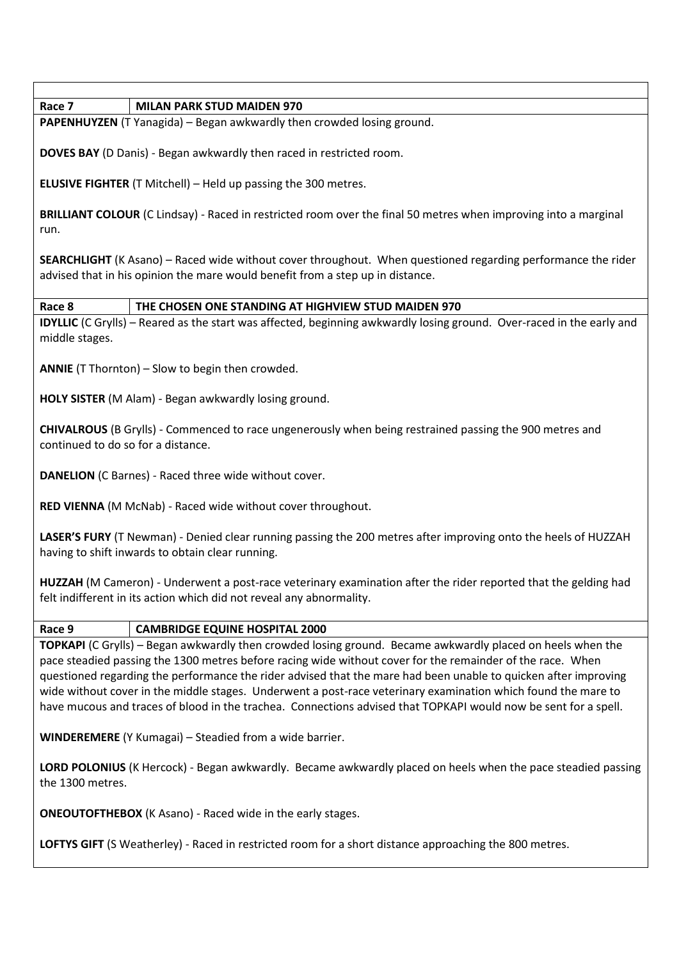| Race 7<br><b>MILAN PARK STUD MAIDEN 970</b>                                                                                                                                                                                                                                                                                                                                                                                                                                                                                                                                     |  |  |  |  |
|---------------------------------------------------------------------------------------------------------------------------------------------------------------------------------------------------------------------------------------------------------------------------------------------------------------------------------------------------------------------------------------------------------------------------------------------------------------------------------------------------------------------------------------------------------------------------------|--|--|--|--|
| PAPENHUYZEN (T Yanagida) - Began awkwardly then crowded losing ground.                                                                                                                                                                                                                                                                                                                                                                                                                                                                                                          |  |  |  |  |
| <b>DOVES BAY</b> (D Danis) - Began awkwardly then raced in restricted room.                                                                                                                                                                                                                                                                                                                                                                                                                                                                                                     |  |  |  |  |
| <b>ELUSIVE FIGHTER</b> (T Mitchell) - Held up passing the 300 metres.                                                                                                                                                                                                                                                                                                                                                                                                                                                                                                           |  |  |  |  |
| BRILLIANT COLOUR (C Lindsay) - Raced in restricted room over the final 50 metres when improving into a marginal<br>run.                                                                                                                                                                                                                                                                                                                                                                                                                                                         |  |  |  |  |
| <b>SEARCHLIGHT</b> (K Asano) – Raced wide without cover throughout. When questioned regarding performance the rider<br>advised that in his opinion the mare would benefit from a step up in distance.                                                                                                                                                                                                                                                                                                                                                                           |  |  |  |  |
| THE CHOSEN ONE STANDING AT HIGHVIEW STUD MAIDEN 970<br>Race 8                                                                                                                                                                                                                                                                                                                                                                                                                                                                                                                   |  |  |  |  |
| <b>IDYLLIC</b> (C Grylls) – Reared as the start was affected, beginning awkwardly losing ground. Over-raced in the early and<br>middle stages.                                                                                                                                                                                                                                                                                                                                                                                                                                  |  |  |  |  |
| <b>ANNIE</b> (T Thornton) – Slow to begin then crowded.                                                                                                                                                                                                                                                                                                                                                                                                                                                                                                                         |  |  |  |  |
| HOLY SISTER (M Alam) - Began awkwardly losing ground.                                                                                                                                                                                                                                                                                                                                                                                                                                                                                                                           |  |  |  |  |
| CHIVALROUS (B Grylls) - Commenced to race ungenerously when being restrained passing the 900 metres and<br>continued to do so for a distance.                                                                                                                                                                                                                                                                                                                                                                                                                                   |  |  |  |  |
| <b>DANELION</b> (C Barnes) - Raced three wide without cover.                                                                                                                                                                                                                                                                                                                                                                                                                                                                                                                    |  |  |  |  |
| RED VIENNA (M McNab) - Raced wide without cover throughout.                                                                                                                                                                                                                                                                                                                                                                                                                                                                                                                     |  |  |  |  |
| LASER'S FURY (T Newman) - Denied clear running passing the 200 metres after improving onto the heels of HUZZAH<br>having to shift inwards to obtain clear running.                                                                                                                                                                                                                                                                                                                                                                                                              |  |  |  |  |
| HUZZAH (M Cameron) - Underwent a post-race veterinary examination after the rider reported that the gelding had<br>felt indifferent in its action which did not reveal any abnormality.                                                                                                                                                                                                                                                                                                                                                                                         |  |  |  |  |
| Race 9<br><b>CAMBRIDGE EQUINE HOSPITAL 2000</b>                                                                                                                                                                                                                                                                                                                                                                                                                                                                                                                                 |  |  |  |  |
| TOPKAPI (C Grylls) - Began awkwardly then crowded losing ground. Became awkwardly placed on heels when the<br>pace steadied passing the 1300 metres before racing wide without cover for the remainder of the race. When<br>questioned regarding the performance the rider advised that the mare had been unable to quicken after improving<br>wide without cover in the middle stages. Underwent a post-race veterinary examination which found the mare to<br>have mucous and traces of blood in the trachea. Connections advised that TOPKAPI would now be sent for a spell. |  |  |  |  |
| <b>WINDEREMERE</b> (Y Kumagai) - Steadied from a wide barrier.                                                                                                                                                                                                                                                                                                                                                                                                                                                                                                                  |  |  |  |  |
| LORD POLONIUS (K Hercock) - Began awkwardly. Became awkwardly placed on heels when the pace steadied passing<br>the 1300 metres.                                                                                                                                                                                                                                                                                                                                                                                                                                                |  |  |  |  |
| <b>ONEOUTOFTHEBOX</b> (K Asano) - Raced wide in the early stages.                                                                                                                                                                                                                                                                                                                                                                                                                                                                                                               |  |  |  |  |
| LOFTYS GIFT (S Weatherley) - Raced in restricted room for a short distance approaching the 800 metres.                                                                                                                                                                                                                                                                                                                                                                                                                                                                          |  |  |  |  |